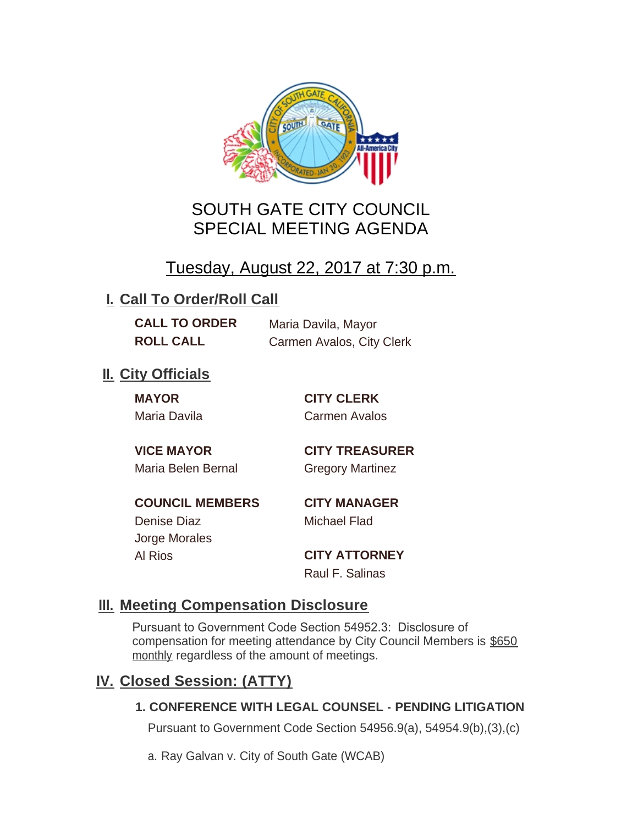

# SOUTH GATE CITY COUNCIL SPECIAL MEETING AGENDA

# Tuesday, August 22, 2017 at 7:30 p.m.

# **I. Call To Order/Roll Call**

**CALL TO ORDER** Maria Davila, Mayor **ROLL CALL** Carmen Avalos, City Clerk

# **II.** City Officials

**MAYOR CITY CLERK**

Maria Davila Carmen Avalos

Maria Belen Bernal Gregory Martinez

**VICE MAYOR CITY TREASURER**

**COUNCIL MEMBERS CITY MANAGER** Denise Diaz Michael Flad

Jorge Morales

Al Rios **CITY ATTORNEY** Raul F. Salinas

### **Meeting Compensation Disclosure III.**

Pursuant to Government Code Section 54952.3: Disclosure of compensation for meeting attendance by City Council Members is \$650 monthly regardless of the amount of meetings.

### **Closed Session: (ATTY) IV.**

#### **1. CONFERENCE WITH LEGAL COUNSEL - PENDING LITIGATION**

Pursuant to Government Code Section 54956.9(a), 54954.9(b),(3),(c)

a. Ray Galvan v. City of South Gate (WCAB)